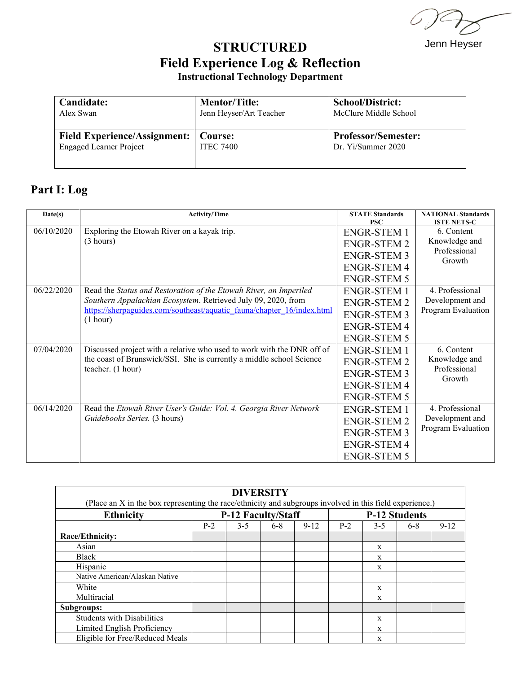$\omega$  .

Jenn Heyser

## **STRUCTURED Field Experience Log & Reflection Instructional Technology Department**

| Candidate:                                                               | <b>Mentor/Title:</b>    | <b>School/District:</b>                          |  |  |  |
|--------------------------------------------------------------------------|-------------------------|--------------------------------------------------|--|--|--|
| Alex Swan                                                                | Jenn Heyser/Art Teacher | McClure Middle School                            |  |  |  |
| Field Experience/Assignment:   Course:<br><b>Engaged Learner Project</b> | <b>ITEC 7400</b>        | <b>Professor/Semester:</b><br>Dr. Yi/Summer 2020 |  |  |  |

## **Part I: Log**

| Date(s)    | <b>Activity/Time</b>                                                                                                                                                | <b>STATE Standards</b> | <b>NATIONAL Standards</b><br><b>ISTE NETS-C</b> |  |  |
|------------|---------------------------------------------------------------------------------------------------------------------------------------------------------------------|------------------------|-------------------------------------------------|--|--|
|            |                                                                                                                                                                     | <b>PSC</b>             |                                                 |  |  |
| 06/10/2020 | Exploring the Etowah River on a kayak trip.                                                                                                                         | <b>ENGR-STEM 1</b>     | 6. Content<br>Knowledge and                     |  |  |
|            | (3 hours)                                                                                                                                                           | <b>ENGR-STEM 2</b>     |                                                 |  |  |
|            |                                                                                                                                                                     | <b>ENGR-STEM 3</b>     | Professional<br>Growth                          |  |  |
|            |                                                                                                                                                                     | <b>ENGR-STEM 4</b>     |                                                 |  |  |
|            |                                                                                                                                                                     | <b>ENGR-STEM 5</b>     |                                                 |  |  |
| 06/22/2020 | Read the Status and Restoration of the Etowah River, an Imperiled                                                                                                   | <b>ENGR-STEM 1</b>     | 4. Professional                                 |  |  |
|            | Southern Appalachian Ecosystem. Retrieved July 09, 2020, from                                                                                                       | <b>ENGR-STEM 2</b>     | Development and                                 |  |  |
|            | https://sherpaguides.com/southeast/aquatic_fauna/chapter_16/index.html<br>(1 hour)                                                                                  | <b>ENGR-STEM 3</b>     | Program Evaluation                              |  |  |
|            |                                                                                                                                                                     | <b>ENGR-STEM 4</b>     |                                                 |  |  |
|            |                                                                                                                                                                     | <b>ENGR-STEM 5</b>     |                                                 |  |  |
| 07/04/2020 | Discussed project with a relative who used to work with the DNR off of<br>the coast of Brunswick/SSI. She is currently a middle school Science<br>teacher. (1 hour) | <b>ENGR-STEM 1</b>     | 6. Content<br>Knowledge and                     |  |  |
|            |                                                                                                                                                                     | <b>ENGR-STEM 2</b>     |                                                 |  |  |
|            |                                                                                                                                                                     | <b>ENGR-STEM 3</b>     | Professional<br>Growth                          |  |  |
|            |                                                                                                                                                                     | <b>ENGR-STEM 4</b>     |                                                 |  |  |
|            |                                                                                                                                                                     | <b>ENGR-STEM 5</b>     |                                                 |  |  |
| 06/14/2020 | Read the Etowah River User's Guide: Vol. 4. Georgia River Network<br>Guidebooks Series. (3 hours)                                                                   | <b>ENGR-STEM 1</b>     | 4. Professional                                 |  |  |
|            |                                                                                                                                                                     | <b>ENGR-STEM 2</b>     | Development and                                 |  |  |
|            |                                                                                                                                                                     | <b>ENGR-STEM 3</b>     | Program Evaluation                              |  |  |
|            |                                                                                                                                                                     | <b>ENGR-STEM 4</b>     |                                                 |  |  |
|            |                                                                                                                                                                     | <b>ENGR-STEM 5</b>     |                                                 |  |  |

| <b>DIVERSITY</b>                                                                                         |                           |         |       |                      |       |         |       |        |  |  |
|----------------------------------------------------------------------------------------------------------|---------------------------|---------|-------|----------------------|-------|---------|-------|--------|--|--|
| (Place an X in the box representing the race/ethnicity and subgroups involved in this field experience.) |                           |         |       |                      |       |         |       |        |  |  |
| <b>Ethnicity</b>                                                                                         | <b>P-12 Faculty/Staff</b> |         |       | <b>P-12 Students</b> |       |         |       |        |  |  |
|                                                                                                          | $P-2$                     | $3 - 5$ | $6-8$ | $9 - 12$             | $P-2$ | $3 - 5$ | $6-8$ | $9-12$ |  |  |
| Race/Ethnicity:                                                                                          |                           |         |       |                      |       |         |       |        |  |  |
| Asian                                                                                                    |                           |         |       |                      |       | X       |       |        |  |  |
| Black                                                                                                    |                           |         |       |                      |       | X       |       |        |  |  |
| Hispanic                                                                                                 |                           |         |       |                      |       | X       |       |        |  |  |
| Native American/Alaskan Native                                                                           |                           |         |       |                      |       |         |       |        |  |  |
| White                                                                                                    |                           |         |       |                      |       | X       |       |        |  |  |
| Multiracial                                                                                              |                           |         |       |                      |       | X       |       |        |  |  |
| Subgroups:                                                                                               |                           |         |       |                      |       |         |       |        |  |  |
| <b>Students with Disabilities</b>                                                                        |                           |         |       |                      |       | X       |       |        |  |  |
| Limited English Proficiency                                                                              |                           |         |       |                      |       | X       |       |        |  |  |
| Eligible for Free/Reduced Meals                                                                          |                           |         |       |                      |       | X       |       |        |  |  |